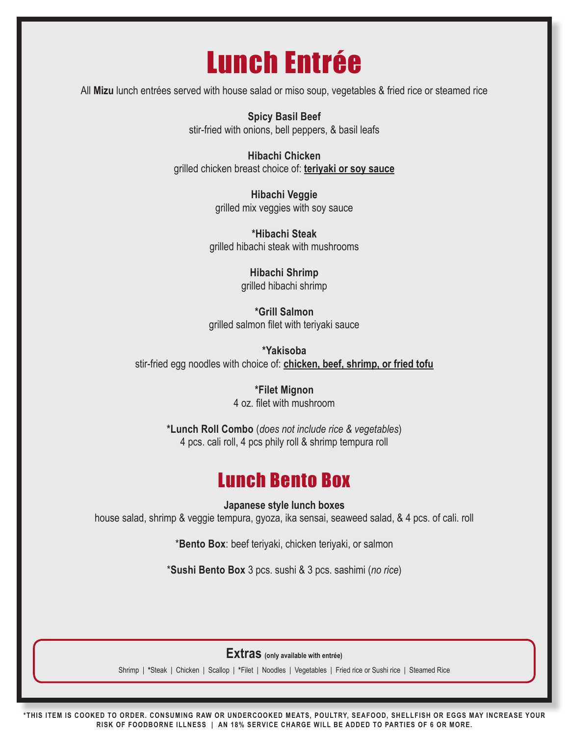# Lunch Entrée

All **Mizu** lunch entrées served with house salad or miso soup, vegetables & fried rice or steamed rice

**Spicy Basil Beef** stir-fried with onions, bell peppers, & basil leafs

**Hibachi Chicken** grilled chicken breast choice of: **teriyaki or soy sauce**

> **Hibachi Veggie** grilled mix veggies with soy sauce

**\*Hibachi Steak** grilled hibachi steak with mushrooms

> **Hibachi Shrimp** grilled hibachi shrimp

**\*Grill Salmon** grilled salmon filet with teriyaki sauce

**\*Yakisoba** stir-fried egg noodles with choice of: **chicken, beef, shrimp, or fried tofu**

> **\*Filet Mignon** 4 oz. filet with mushroom

**\*Lunch Roll Combo** (*does not include rice & vegetables*) 4 pcs. cali roll, 4 pcs phily roll & shrimp tempura roll

### Lunch Bento Box

**Japanese style lunch boxes** house salad, shrimp & veggie tempura, gyoza, ika sensai, seaweed salad, & 4 pcs. of cali. roll

\***Bento Box**: beef teriyaki, chicken teriyaki, or salmon

\***Sushi Bento Box** 3 pcs. sushi & 3 pcs. sashimi (*no rice*)

**Extras (only available with entrée)**

Shrimp | **\***Steak | Chicken | Scallop | **\***Filet | Noodles | Vegetables | Fried rice or Sushi rice | Steamed Rice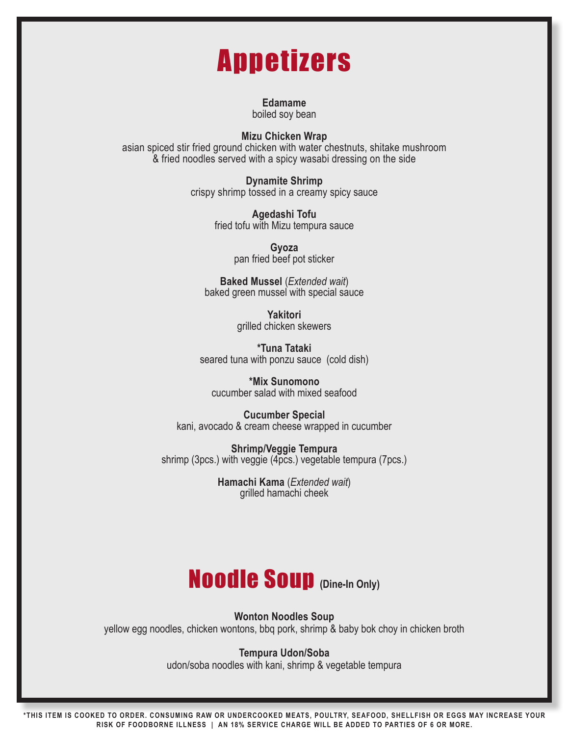# Appetizers

**Edamame** boiled soy bean

**Mizu Chicken Wrap**

asian spiced stir fried ground chicken with water chestnuts, shitake mushroom & fried noodles served with a spicy wasabi dressing on the side

> **Dynamite Shrimp** crispy shrimp tossed in a creamy spicy sauce

> > **Agedashi Tofu** fried tofu with Mizu tempura sauce

> > > **Gyoza** pan fried beef pot sticker

**Baked Mussel** (*Extended wait*) baked green mussel with special sauce

> **Yakitori** grilled chicken skewers

**\*Tuna Tataki** seared tuna with ponzu sauce (cold dish)

**\*Mix Sunomono** cucumber salad with mixed seafood

**Cucumber Special** kani, avocado & cream cheese wrapped in cucumber

**Shrimp/Veggie Tempura** shrimp (3pcs.) with veggie (4pcs.) vegetable tempura (7pcs.)

> **Hamachi Kama** (*Extended wait*) grilled hamachi cheek

## Noodle Soup **(Dine-In Only)**

**Wonton Noodles Soup**

yellow egg noodles, chicken wontons, bbq pork, shrimp & baby bok choy in chicken broth

#### **Tempura Udon/Soba**

udon/soba noodles with kani, shrimp & vegetable tempura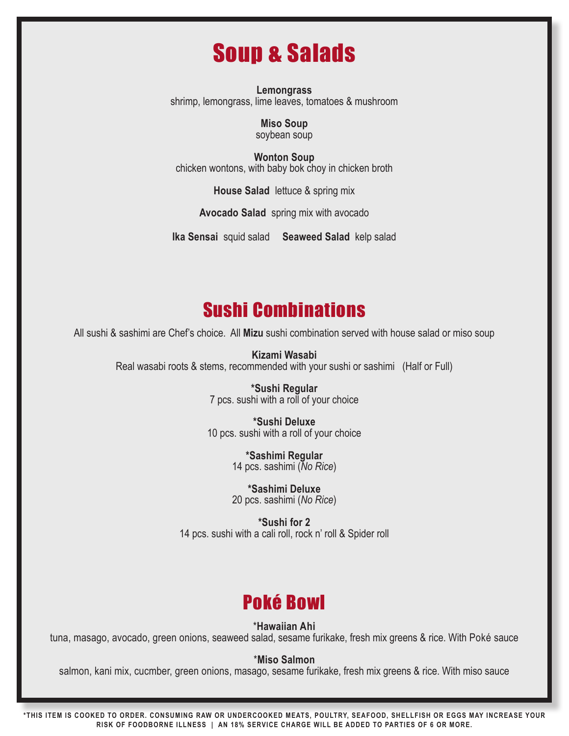## Soup & Salads

**Lemongrass** shrimp, lemongrass, lime leaves, tomatoes & mushroom

> **Miso Soup** soybean soup

**Wonton Soup** chicken wontons, with baby bok choy in chicken broth

**House Salad** lettuce & spring mix

**Avocado Salad** spring mix with avocado

**Ika Sensai** squid salad **Seaweed Salad** kelp salad

### Sushi Combinations

All sushi & sashimi are Chef's choice. All **Mizu** sushi combination served with house salad or miso soup

**Kizami Wasabi** Real wasabi roots & stems, recommended with your sushi or sashimi (Half or Full)

> **\*Sushi Regular** 7 pcs. sushi with a roll of your choice

**\*Sushi Deluxe** 10 pcs. sushi with a roll of your choice

> **\*Sashimi Regular** 14 pcs. sashimi (*No Rice*)

> **\*Sashimi Deluxe** 20 pcs. sashimi (*No Rice*)

**\*Sushi for 2** 14 pcs. sushi with a cali roll, rock n' roll & Spider roll

### Poké Bowl

\***Hawaiian Ahi**

tuna, masago, avocado, green onions, seaweed salad, sesame furikake, fresh mix greens & rice. With Poké sauce

\***Miso Salmon**

salmon, kani mix, cucmber, green onions, masago, sesame furikake, fresh mix greens & rice. With miso sauce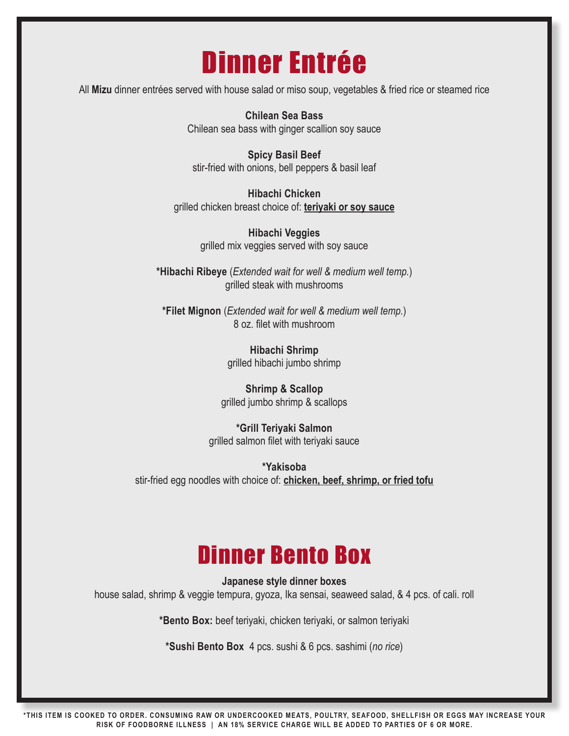# Dinner Entrée

All **Mizu** dinner entrées served with house salad or miso soup, vegetables & fried rice or steamed rice

**Chilean Sea Bass** Chilean sea bass with ginger scallion soy sauce

**Spicy Basil Beef** stir-fried with onions, bell peppers & basil leaf

**Hibachi Chicken** grilled chicken breast choice of: **teriyaki or soy sauce**

> **Hibachi Veggies** grilled mix veggies served with soy sauce

**\*Hibachi Ribeye** (*Extended wait for well & medium well temp.*) grilled steak with mushrooms

**\*Filet Mignon** (*Extended wait for well & medium well temp.*) 8 oz. filet with mushroom

> **Hibachi Shrimp** grilled hibachi jumbo shrimp

**Shrimp & Scallop** grilled jumbo shrimp & scallops

**\*Grill Teriyaki Salmon** grilled salmon filet with teriyaki sauce

**\*Yakisoba** stir-fried egg noodles with choice of: **chicken, beef, shrimp, or fried tofu**

## Dinner Bento Box

**Japanese style dinner boxes** house salad, shrimp & veggie tempura, gyoza, Ika sensai, seaweed salad, & 4 pcs. of cali. roll

**\*Bento Box:** beef teriyaki, chicken teriyaki, or salmon teriyaki

**\*Sushi Bento Box** 4 pcs. sushi & 6 pcs. sashimi (*no rice*)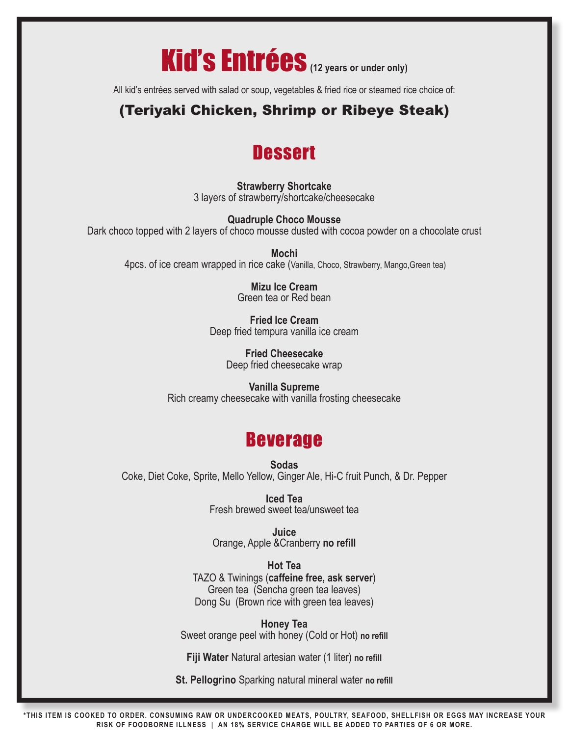

All kid's entrées served with salad or soup, vegetables & fried rice or steamed rice choice of:

### (Teriyaki Chicken, Shrimp or Ribeye Steak)

### **Dessert**

**Strawberry Shortcake** 3 layers of strawberry/shortcake/cheesecake

**Quadruple Choco Mousse** Dark choco topped with 2 layers of choco mousse dusted with cocoa powder on a chocolate crust

**Mochi** 4pcs. of ice cream wrapped in rice cake (Vanilla, Choco, Strawberry, Mango,Green tea)

> **Mizu Ice Cream** Green tea or Red bean

**Fried Ice Cream** Deep fried tempura vanilla ice cream

> **Fried Cheesecake** Deep fried cheesecake wrap

**Vanilla Supreme** Rich creamy cheesecake with vanilla frosting cheesecake

### Beverage

**Sodas** Coke, Diet Coke, Sprite, Mello Yellow, Ginger Ale, Hi-C fruit Punch, & Dr. Pepper

> **Iced Tea** Fresh brewed sweet tea/unsweet tea

**Juice** Orange, Apple &Cranberry **no refill**

**Hot Tea** TAZO & Twinings (**caffeine free, ask server**) Green tea (Sencha green tea leaves) Dong Su (Brown rice with green tea leaves)

**Honey Tea** Sweet orange peel with honey (Cold or Hot) **no refill**

**Fiji Water** Natural artesian water (1 liter) **no refill**

**St. Pellogrino** Sparking natural mineral water **no refill**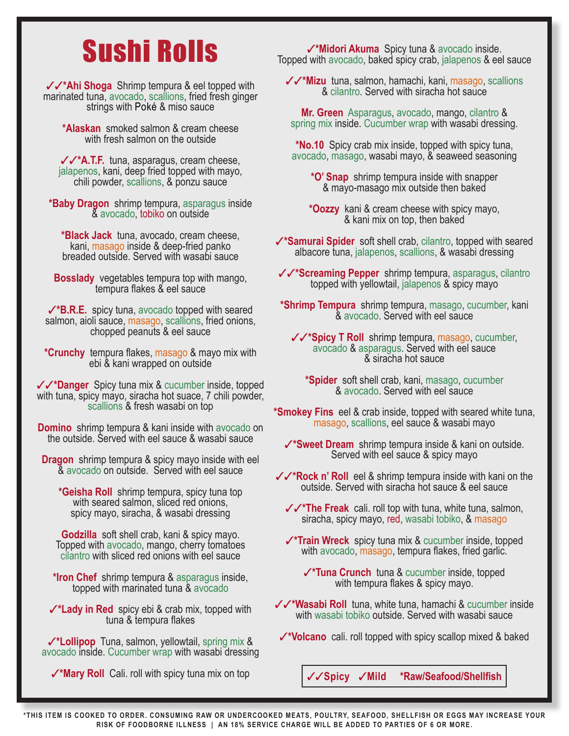# Sushi Rolls

33**\*Ahi Shoga** Shrimp tempura & eel topped with marinated tuna, avocado, scallions, fried fresh ginger strings with Poké & miso sauce

**\*Alaskan** smoked salmon & cream cheese with fresh salmon on the outside

33**\*A.T.F.** tuna, asparagus, cream cheese, jalapenos, kani, deep fried topped with mayo, chili powder, scallions, & ponzu sauce

**\*Baby Dragon** shrimp tempura, asparagus inside & avocado, tobiko on outside

**\*Black Jack** tuna, avocado, cream cheese, kani, masago inside & deep-fried panko breaded outside. Served with wasabi sauce

**Bosslady** vegetables tempura top with mango, tempura flakes & eel sauce

**√\*B.R.E.** spicy tuna, avocado topped with seared salmon, aioli sauce, masago, scallions, fried onions, chopped peanuts & eel sauce

**\*Crunchy** tempura flakes, masago & mayo mix with ebi & kani wrapped on outside

33**\*Danger** Spicy tuna mix & cucumber inside, topped with tuna, spicy mayo, siracha hot suace, 7 chili powder, scallions & fresh wasabi on top

**Domino** shrimp tempura & kani inside with avocado on the outside. Served with eel sauce & wasabi sauce

**Dragon** shrimp tempura & spicy mayo inside with eel & avocado on outside. Served with eel sauce

**\*Geisha Roll** shrimp tempura, spicy tuna top with seared salmon, sliced red onions, spicy mayo, siracha, & wasabi dressing

**Godzilla** soft shell crab, kani & spicy mayo. Topped with avocado, mango, cherry tomatoes cilantro with sliced red onions with eel sauce

**\*Iron Chef** shrimp tempura & asparagus inside, topped with marinated tuna & avocado

**√\*Lady in Red** spicy ebi & crab mix, topped with tuna<sup>'</sup> & tempura flakes

3**\*Lollipop** Tuna, salmon, yellowtail, spring mix & avocado inside. Cucumber wrap with wasabi dressing

**√\*Mary Roll** Cali. roll with spicy tuna mix on top

3**\*Midori Akuma** Spicy tuna & avocado inside. Topped with avocado, baked spicy crab, jalapenos & eel sauce

33**\*Mizu** tuna, salmon, hamachi, kani, masago, scallions & cilantro. Served with siracha hot sauce

**Mr. Green** Asparagus, avocado, mango, cilantro & spring mix inside. Cucumber wrap with wasabi dressing.

**\*No.10** Spicy crab mix inside, topped with spicy tuna, avocado, masago, wasabi mayo, & seaweed seasoning

**\*O' Snap** shrimp tempura inside with snapper & mayo-masago mix outside then baked

**\*Oozzy** kani & cream cheese with spicy mayo, & kani mix on top, then baked

3**\*Samurai Spider** soft shell crab, cilantro, topped with seared albacore tuna, jalapenos, scallions, & wasabi dressing

33**\*Screaming Pepper** shrimp tempura, asparagus, cilantro topped with yellowtail, jalapenos & spicy mayo

**\*Shrimp Tempura** shrimp tempura, masago, cucumber, kani & avocado. Served with eel sauce

<sup>33</sup>**\*Spicy T Roll** shrimp tempura, masago, cucumber, avocado & asparagus. Served with eel sauce & siracha hot sauce

**\*Spider** soft shell crab, kani, masago, cucumber & avocado. Served with eel sauce

**\*Smokey Fins** eel & crab inside, topped with seared white tuna, masago, scallions, eel sauce & wasabi mayo

3**\*Sweet Dream** shrimp tempura inside & kani on outside. Served with eel sauce & spicy mayo

33**\*Rock n' Roll** eel & shrimp tempura inside with kani on the outside. Served with siracha hot sauce & eel sauce

**√√\*The Freak** cali. roll top with tuna, white tuna, salmon, siracha, spicy mayo, red, wasabi tobiko, & masago

3**\*Train Wreck** spicy tuna mix & cucumber inside, topped with avocado, masago, tempura flakes, fried garlic.

3**\*Tuna Crunch** tuna & cucumber inside, topped with tempura flakes & spicy mayo.

33**\*Wasabi Roll** tuna, white tuna, hamachi & cucumber inside with wasabi tobiko outside. Served with wasabi sauce

3**\*Volcano** cali. roll topped with spicy scallop mixed & baked

33**Spicy** 3**Mild \*Raw/Seafood/Shellfish**